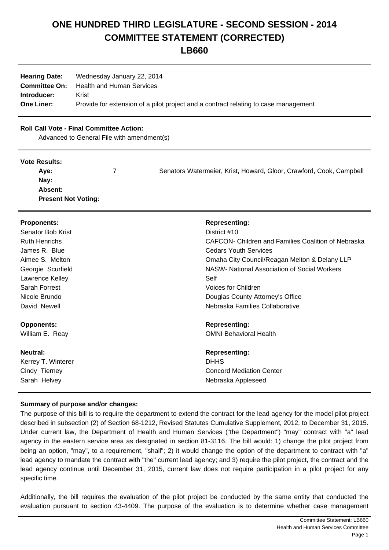# **ONE HUNDRED THIRD LEGISLATURE - SECOND SESSION - 2014 COMMITTEE STATEMENT (CORRECTED)**

**LB660**

| <b>Hearing Date:</b> | Wednesday January 22, 2014                                                          |
|----------------------|-------------------------------------------------------------------------------------|
| <b>Committee On:</b> | <b>Health and Human Services</b>                                                    |
| Introducer:          | Krist                                                                               |
| <b>One Liner:</b>    | Provide for extension of a pilot project and a contract relating to case management |

## **Roll Call Vote - Final Committee Action:**

Advanced to General File with amendment(s)

#### **Vote Results:**

| Aye:                       | Senators Watermeier, Krist, Howard, Gloor, Crawford, Cook, Campbell |
|----------------------------|---------------------------------------------------------------------|
| Nay:                       |                                                                     |
| <b>Absent:</b>             |                                                                     |
| <b>Present Not Voting:</b> |                                                                     |

| <b>Proponents:</b>   | <b>Representing:</b>                                |
|----------------------|-----------------------------------------------------|
| Senator Bob Krist    | District #10                                        |
| <b>Ruth Henrichs</b> | CAFCON- Children and Families Coalition of Nebraska |
| James R. Blue        | <b>Cedars Youth Services</b>                        |
| Aimee S. Melton      | Omaha City Council/Reagan Melton & Delany LLP       |
| Georgie Scurfield    | NASW- National Association of Social Workers        |
| Lawrence Kelley      | Self                                                |
| Sarah Forrest        | Voices for Children                                 |
| Nicole Brundo        | Douglas County Attorney's Office                    |
| David Newell         | Nebraska Families Collaborative                     |
| <b>Opponents:</b>    | <b>Representing:</b>                                |
| William E. Reay      | <b>OMNI Behavioral Health</b>                       |
| Neutral:             | <b>Representing:</b>                                |
| Kerrey T. Winterer   | <b>DHHS</b>                                         |
| Cindy Tierney        | <b>Concord Mediation Center</b>                     |
| Sarah Helvey         | Nebraska Appleseed                                  |

## **Summary of purpose and/or changes:**

The purpose of this bill is to require the department to extend the contract for the lead agency for the model pilot project described in subsection (2) of Section 68-1212, Revised Statutes Cumulative Supplement, 2012, to December 31, 2015. Under current law, the Department of Health and Human Services ("the Department") "may" contract with "a" lead agency in the eastern service area as designated in section 81-3116. The bill would: 1) change the pilot project from being an option, "may", to a requirement, "shall"; 2) it would change the option of the department to contract with "a" lead agency to mandate the contract with "the" current lead agency; and 3) require the pilot project, the contract and the lead agency continue until December 31, 2015, current law does not require participation in a pilot project for any specific time.

Additionally, the bill requires the evaluation of the pilot project be conducted by the same entity that conducted the evaluation pursuant to section 43-4409. The purpose of the evaluation is to determine whether case management